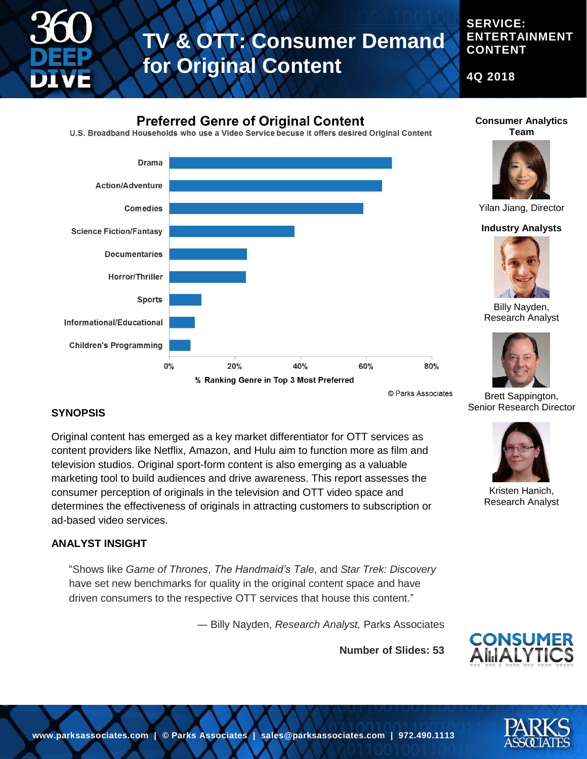

**SERVICE: ENTERTAINMENT CONTENT**

**4Q 2018**

### **Preferred Genre of Original Content**

U.S. Broadband Households who use a Video Service becuse it offers desired Original Content



### **Consumer Analytics Team**



Yilan Jiang, Director

#### **Industry Analysts**



Billy Nayden, Research Analyst



Brett Sappington, Senior Research Director

#### **SYNOPSIS**

Original content has emerged as a key market differentiator for OTT services as content providers like Netflix, Amazon, and Hulu aim to function more as film and television studios. Original sport-form content is also emerging as a valuable marketing tool to build audiences and drive awareness. This report assesses the consumer perception of originals in the television and OTT video space and determines the effectiveness of originals in attracting customers to subscription or ad-based video services.

#### **ANALYST INSIGHT**

"Shows like *Game of Thrones*, *The Handmaid's Tale*, and *Star Trek: Discovery* have set new benchmarks for quality in the original content space and have driven consumers to the respective OTT services that house this content."

― Billy Nayden, *Research Analyst,* Parks Associates

**Number of Slides: 53**



Kristen Hanich, Research Analyst



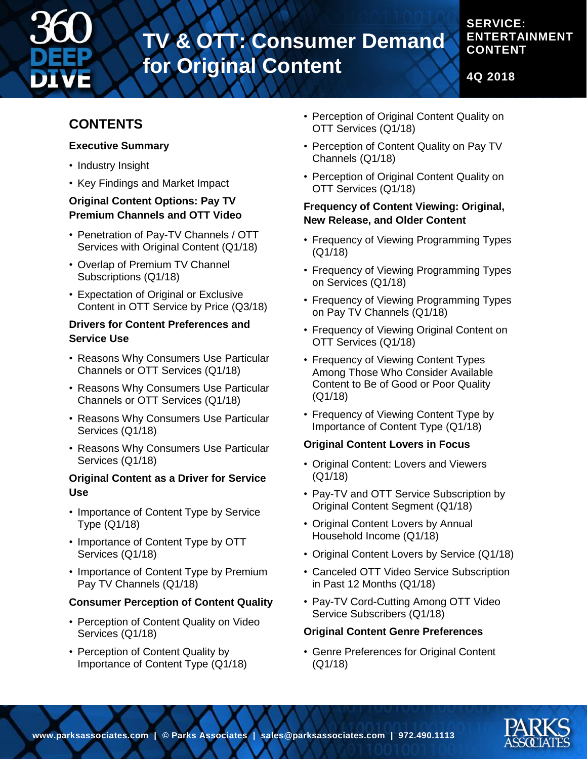

**CONTENT**

**ENTERTAINMENT** 

**SERVICE:** 

**4Q 2018**

## **CONTENTS**

#### **Executive Summary**

- Industry Insight
- Key Findings and Market Impact

#### **Original Content Options: Pay TV Premium Channels and OTT Video**

- Penetration of Pay-TV Channels / OTT Services with Original Content (Q1/18)
- Overlap of Premium TV Channel Subscriptions (Q1/18)
- Expectation of Original or Exclusive Content in OTT Service by Price (Q3/18)

#### **Drivers for Content Preferences and Service Use**

- Reasons Why Consumers Use Particular Channels or OTT Services (Q1/18)
- Reasons Why Consumers Use Particular Channels or OTT Services (Q1/18)
- Reasons Why Consumers Use Particular Services (Q1/18)
- Reasons Why Consumers Use Particular Services (Q1/18)

#### **Original Content as a Driver for Service Use**

- Importance of Content Type by Service Type (Q1/18)
- Importance of Content Type by OTT Services (Q1/18)
- Importance of Content Type by Premium Pay TV Channels (Q1/18)

#### **Consumer Perception of Content Quality**

- Perception of Content Quality on Video Services (Q1/18)
- Perception of Content Quality by Importance of Content Type (Q1/18)
- Perception of Original Content Quality on OTT Services (Q1/18)
- Perception of Content Quality on Pay TV Channels (Q1/18)
- Perception of Original Content Quality on OTT Services (Q1/18)

#### **Frequency of Content Viewing: Original, New Release, and Older Content**

- Frequency of Viewing Programming Types (Q1/18)
- Frequency of Viewing Programming Types on Services (Q1/18)
- Frequency of Viewing Programming Types on Pay TV Channels (Q1/18)
- Frequency of Viewing Original Content on OTT Services (Q1/18)
- Frequency of Viewing Content Types Among Those Who Consider Available Content to Be of Good or Poor Quality (Q1/18)
- Frequency of Viewing Content Type by Importance of Content Type (Q1/18)

#### **Original Content Lovers in Focus**

- Original Content: Lovers and Viewers (Q1/18)
- Pay-TV and OTT Service Subscription by Original Content Segment (Q1/18)
- Original Content Lovers by Annual Household Income (Q1/18)
- Original Content Lovers by Service (Q1/18)
- Canceled OTT Video Service Subscription in Past 12 Months (Q1/18)
- Pay-TV Cord-Cutting Among OTT Video Service Subscribers (Q1/18)

#### **Original Content Genre Preferences**

• Genre Preferences for Original Content (Q1/18)

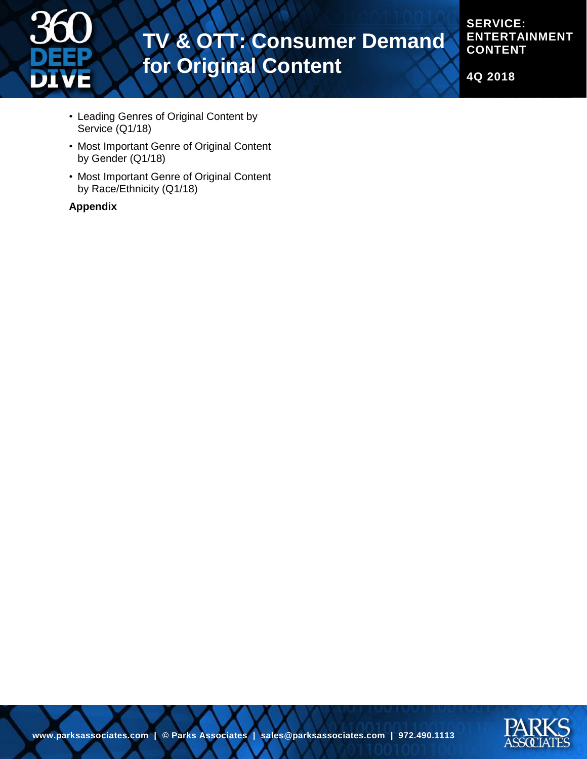

**SERVICE: ENTERTAINMENT CONTENT**

**4Q 2018**

- Leading Genres of Original Content by Service (Q1/18)
- Most Important Genre of Original Content by Gender (Q1/18)
- Most Important Genre of Original Content by Race/Ethnicity (Q1/18)

#### **Appendix**